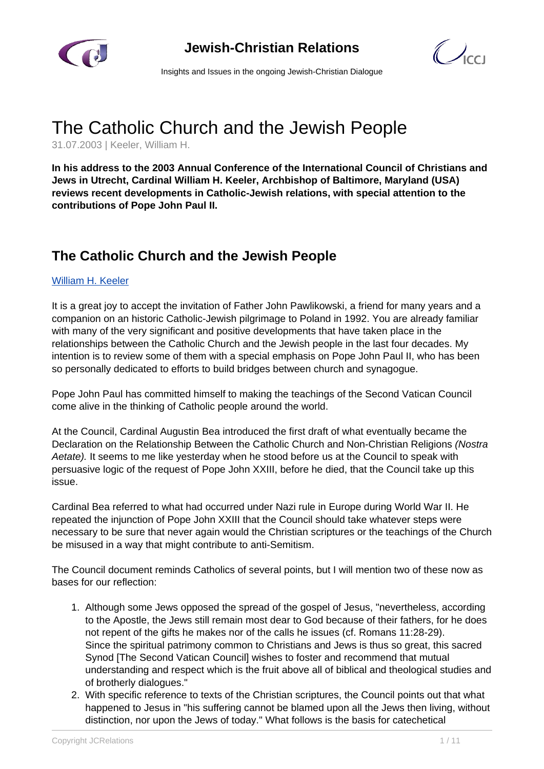



Insights and Issues in the ongoing Jewish-Christian Dialogue

# The Catholic Church and the Jewish People

31.07.2003 | Keeler, William H.

**In his address to the 2003 Annual Conference of the International Council of Christians and Jews in Utrecht, Cardinal William H. Keeler, Archbishop of Baltimore, Maryland (USA) reviews recent developments in Catholic-Jewish relations, with special attention to the contributions of Pope John Paul II.**

## **The Catholic Church and the Jewish People**

#### [William H. Keeler](/article.html)

It is a great joy to accept the invitation of Father John Pawlikowski, a friend for many years and a companion on an historic Catholic-Jewish pilgrimage to Poland in 1992. You are already familiar with many of the very significant and positive developments that have taken place in the relationships between the Catholic Church and the Jewish people in the last four decades. My intention is to review some of them with a special emphasis on Pope John Paul II, who has been so personally dedicated to efforts to build bridges between church and synagogue.

Pope John Paul has committed himself to making the teachings of the Second Vatican Council come alive in the thinking of Catholic people around the world.

At the Council, Cardinal Augustin Bea introduced the first draft of what eventually became the Declaration on the Relationship Between the Catholic Church and Non-Christian Religions (Nostra Aetate). It seems to me like yesterday when he stood before us at the Council to speak with persuasive logic of the request of Pope John XXIII, before he died, that the Council take up this issue.

Cardinal Bea referred to what had occurred under Nazi rule in Europe during World War II. He repeated the injunction of Pope John XXIII that the Council should take whatever steps were necessary to be sure that never again would the Christian scriptures or the teachings of the Church be misused in a way that might contribute to anti-Semitism.

The Council document reminds Catholics of several points, but I will mention two of these now as bases for our reflection:

- 1. Although some Jews opposed the spread of the gospel of Jesus, "nevertheless, according to the Apostle, the Jews still remain most dear to God because of their fathers, for he does not repent of the gifts he makes nor of the calls he issues (cf. Romans 11:28-29). Since the spiritual patrimony common to Christians and Jews is thus so great, this sacred Synod [The Second Vatican Council] wishes to foster and recommend that mutual understanding and respect which is the fruit above all of biblical and theological studies and of brotherly dialogues."
- 2. With specific reference to texts of the Christian scriptures, the Council points out that what happened to Jesus in "his suffering cannot be blamed upon all the Jews then living, without distinction, nor upon the Jews of today." What follows is the basis for catechetical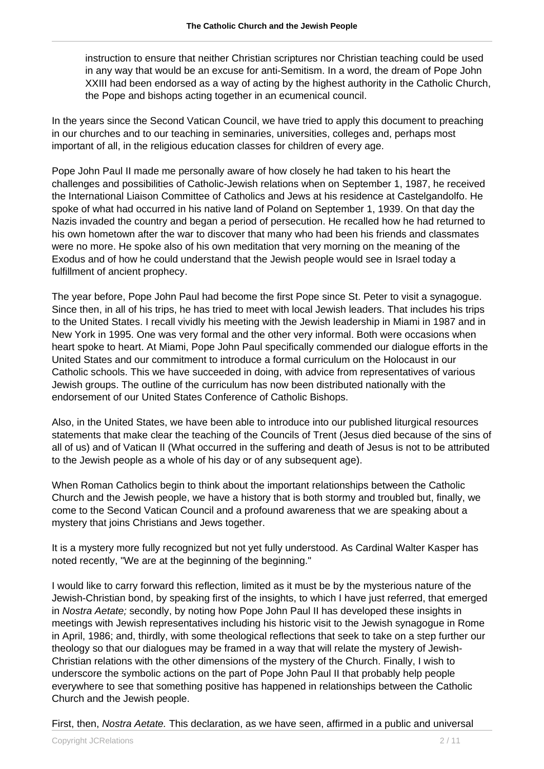instruction to ensure that neither Christian scriptures nor Christian teaching could be used in any way that would be an excuse for anti-Semitism. In a word, the dream of Pope John XXIII had been endorsed as a way of acting by the highest authority in the Catholic Church, the Pope and bishops acting together in an ecumenical council.

In the years since the Second Vatican Council, we have tried to apply this document to preaching in our churches and to our teaching in seminaries, universities, colleges and, perhaps most important of all, in the religious education classes for children of every age.

Pope John Paul II made me personally aware of how closely he had taken to his heart the challenges and possibilities of Catholic-Jewish relations when on September 1, 1987, he received the International Liaison Committee of Catholics and Jews at his residence at Castelgandolfo. He spoke of what had occurred in his native land of Poland on September 1, 1939. On that day the Nazis invaded the country and began a period of persecution. He recalled how he had returned to his own hometown after the war to discover that many who had been his friends and classmates were no more. He spoke also of his own meditation that very morning on the meaning of the Exodus and of how he could understand that the Jewish people would see in Israel today a fulfillment of ancient prophecy.

The year before, Pope John Paul had become the first Pope since St. Peter to visit a synagogue. Since then, in all of his trips, he has tried to meet with local Jewish leaders. That includes his trips to the United States. I recall vividly his meeting with the Jewish leadership in Miami in 1987 and in New York in 1995. One was very formal and the other very informal. Both were occasions when heart spoke to heart. At Miami, Pope John Paul specifically commended our dialogue efforts in the United States and our commitment to introduce a formal curriculum on the Holocaust in our Catholic schools. This we have succeeded in doing, with advice from representatives of various Jewish groups. The outline of the curriculum has now been distributed nationally with the endorsement of our United States Conference of Catholic Bishops.

Also, in the United States, we have been able to introduce into our published liturgical resources statements that make clear the teaching of the Councils of Trent (Jesus died because of the sins of all of us) and of Vatican II (What occurred in the suffering and death of Jesus is not to be attributed to the Jewish people as a whole of his day or of any subsequent age).

When Roman Catholics begin to think about the important relationships between the Catholic Church and the Jewish people, we have a history that is both stormy and troubled but, finally, we come to the Second Vatican Council and a profound awareness that we are speaking about a mystery that joins Christians and Jews together.

It is a mystery more fully recognized but not yet fully understood. As Cardinal Walter Kasper has noted recently, "We are at the beginning of the beginning."

I would like to carry forward this reflection, limited as it must be by the mysterious nature of the Jewish-Christian bond, by speaking first of the insights, to which I have just referred, that emerged in Nostra Aetate; secondly, by noting how Pope John Paul II has developed these insights in meetings with Jewish representatives including his historic visit to the Jewish synagogue in Rome in April, 1986; and, thirdly, with some theological reflections that seek to take on a step further our theology so that our dialogues may be framed in a way that will relate the mystery of Jewish-Christian relations with the other dimensions of the mystery of the Church. Finally, I wish to underscore the symbolic actions on the part of Pope John Paul II that probably help people everywhere to see that something positive has happened in relationships between the Catholic Church and the Jewish people.

First, then, Nostra Aetate. This declaration, as we have seen, affirmed in a public and universal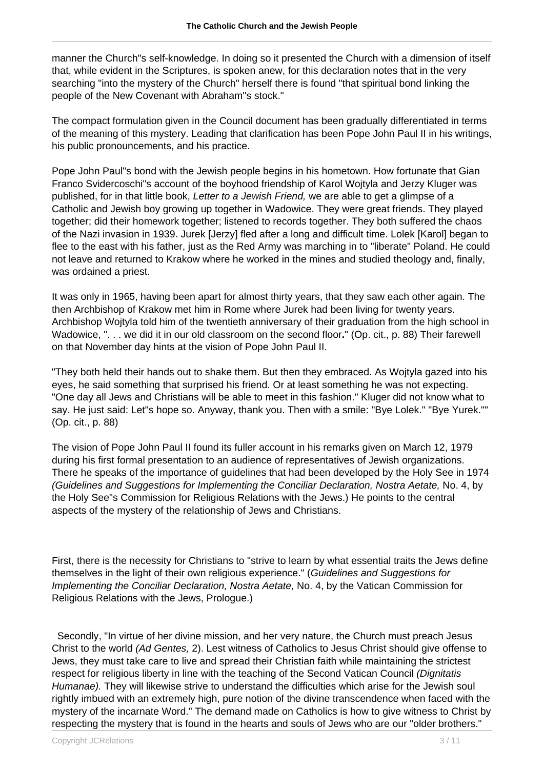manner the Church"s self-knowledge. In doing so it presented the Church with a dimension of itself that, while evident in the Scriptures, is spoken anew, for this declaration notes that in the very searching "into the mystery of the Church" herself there is found "that spiritual bond linking the people of the New Covenant with Abraham"s stock."

The compact formulation given in the Council document has been gradually differentiated in terms of the meaning of this mystery. Leading that clarification has been Pope John Paul II in his writings, his public pronouncements, and his practice.

Pope John Paul"s bond with the Jewish people begins in his hometown. How fortunate that Gian Franco Svidercoschi"s account of the boyhood friendship of Karol Wojtyla and Jerzy Kluger was published, for in that little book, Letter to a Jewish Friend, we are able to get a glimpse of a Catholic and Jewish boy growing up together in Wadowice. They were great friends. They played together; did their homework together; listened to records together. They both suffered the chaos of the Nazi invasion in 1939. Jurek [Jerzy] fled after a long and difficult time. Lolek [Karol] began to flee to the east with his father, just as the Red Army was marching in to "liberate" Poland. He could not leave and returned to Krakow where he worked in the mines and studied theology and, finally, was ordained a priest.

It was only in 1965, having been apart for almost thirty years, that they saw each other again. The then Archbishop of Krakow met him in Rome where Jurek had been living for twenty years. Archbishop Wojtyla told him of the twentieth anniversary of their graduation from the high school in Wadowice, ". . . we did it in our old classroom on the second floor**.**" (Op. cit., p. 88) Their farewell on that November day hints at the vision of Pope John Paul II.

"They both held their hands out to shake them. But then they embraced. As Wojtyla gazed into his eyes, he said something that surprised his friend. Or at least something he was not expecting. "One day all Jews and Christians will be able to meet in this fashion." Kluger did not know what to say. He just said: Let"s hope so. Anyway, thank you. Then with a smile: "Bye Lolek." "Bye Yurek."" (Op. cit., p. 88)

The vision of Pope John Paul II found its fuller account in his remarks given on March 12, 1979 during his first formal presentation to an audience of representatives of Jewish organizations. There he speaks of the importance of guidelines that had been developed by the Holy See in 1974 (Guidelines and Suggestions for Implementing the Conciliar Declaration, Nostra Aetate, No. 4, by the Holy See"s Commission for Religious Relations with the Jews.) He points to the central aspects of the mystery of the relationship of Jews and Christians.

First, there is the necessity for Christians to "strive to learn by what essential traits the Jews define themselves in the light of their own religious experience." (Guidelines and Suggestions for Implementing the Conciliar Declaration, Nostra Aetate, No. 4, by the Vatican Commission for Religious Relations with the Jews, Prologue.)

 Secondly, "In virtue of her divine mission, and her very nature, the Church must preach Jesus Christ to the world (Ad Gentes, 2). Lest witness of Catholics to Jesus Christ should give offense to Jews, they must take care to live and spread their Christian faith while maintaining the strictest respect for religious liberty in line with the teaching of the Second Vatican Council (Dignitatis Humanae). They will likewise strive to understand the difficulties which arise for the Jewish soul rightly imbued with an extremely high, pure notion of the divine transcendence when faced with the mystery of the incarnate Word." The demand made on Catholics is how to give witness to Christ by respecting the mystery that is found in the hearts and souls of Jews who are our "older brothers."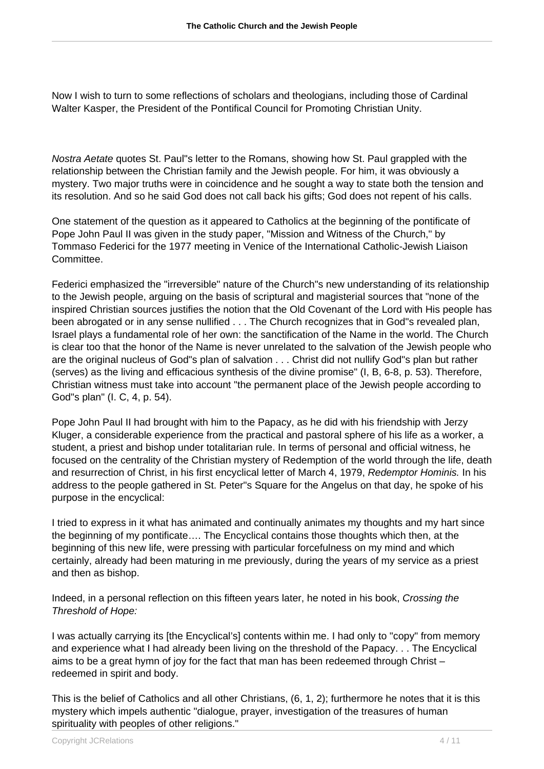Now I wish to turn to some reflections of scholars and theologians, including those of Cardinal Walter Kasper, the President of the Pontifical Council for Promoting Christian Unity.

Nostra Aetate quotes St. Paul"s letter to the Romans, showing how St. Paul grappled with the relationship between the Christian family and the Jewish people. For him, it was obviously a mystery. Two major truths were in coincidence and he sought a way to state both the tension and its resolution. And so he said God does not call back his gifts; God does not repent of his calls.

One statement of the question as it appeared to Catholics at the beginning of the pontificate of Pope John Paul II was given in the study paper, "Mission and Witness of the Church," by Tommaso Federici for the 1977 meeting in Venice of the International Catholic-Jewish Liaison Committee.

Federici emphasized the "irreversible" nature of the Church"s new understanding of its relationship to the Jewish people, arguing on the basis of scriptural and magisterial sources that "none of the inspired Christian sources justifies the notion that the Old Covenant of the Lord with His people has been abrogated or in any sense nullified . . . The Church recognizes that in God"s revealed plan, Israel plays a fundamental role of her own: the sanctification of the Name in the world. The Church is clear too that the honor of the Name is never unrelated to the salvation of the Jewish people who are the original nucleus of God"s plan of salvation . . . Christ did not nullify God"s plan but rather (serves) as the living and efficacious synthesis of the divine promise" (I, B, 6-8, p. 53). Therefore, Christian witness must take into account "the permanent place of the Jewish people according to God"s plan" (I. C, 4, p. 54).

Pope John Paul II had brought with him to the Papacy, as he did with his friendship with Jerzy Kluger, a considerable experience from the practical and pastoral sphere of his life as a worker, a student, a priest and bishop under totalitarian rule. In terms of personal and official witness, he focused on the centrality of the Christian mystery of Redemption of the world through the life, death and resurrection of Christ, in his first encyclical letter of March 4, 1979, Redemptor Hominis. In his address to the people gathered in St. Peter"s Square for the Angelus on that day, he spoke of his purpose in the encyclical:

I tried to express in it what has animated and continually animates my thoughts and my hart since the beginning of my pontificate…. The Encyclical contains those thoughts which then, at the beginning of this new life, were pressing with particular forcefulness on my mind and which certainly, already had been maturing in me previously, during the years of my service as a priest and then as bishop.

Indeed, in a personal reflection on this fifteen years later, he noted in his book, Crossing the Threshold of Hope:

I was actually carrying its [the Encyclical's] contents within me. I had only to "copy" from memory and experience what I had already been living on the threshold of the Papacy. . . The Encyclical aims to be a great hymn of joy for the fact that man has been redeemed through Christ – redeemed in spirit and body.

This is the belief of Catholics and all other Christians, (6, 1, 2); furthermore he notes that it is this mystery which impels authentic "dialogue, prayer, investigation of the treasures of human spirituality with peoples of other religions."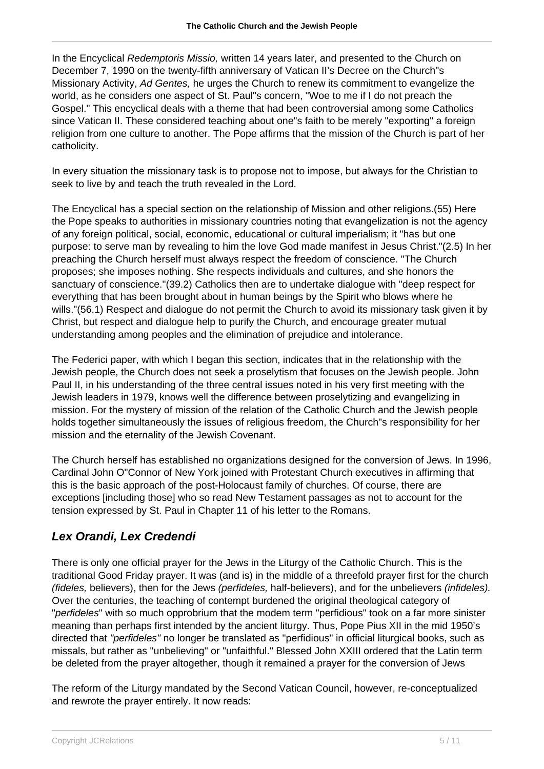In the Encyclical Redemptoris Missio, written 14 years later, and presented to the Church on December 7, 1990 on the twenty-fifth anniversary of Vatican II's Decree on the Church"s Missionary Activity, Ad Gentes, he urges the Church to renew its commitment to evangelize the world, as he considers one aspect of St. Paul"s concern, "Woe to me if I do not preach the Gospel." This encyclical deals with a theme that had been controversial among some Catholics since Vatican II. These considered teaching about one"s faith to be merely "exporting" a foreign religion from one culture to another. The Pope affirms that the mission of the Church is part of her catholicity.

In every situation the missionary task is to propose not to impose, but always for the Christian to seek to live by and teach the truth revealed in the Lord.

The Encyclical has a special section on the relationship of Mission and other religions.(55) Here the Pope speaks to authorities in missionary countries noting that evangelization is not the agency of any foreign political, social, economic, educational or cultural imperialism; it "has but one purpose: to serve man by revealing to him the love God made manifest in Jesus Christ."(2.5) In her preaching the Church herself must always respect the freedom of conscience. "The Church proposes; she imposes nothing. She respects individuals and cultures, and she honors the sanctuary of conscience."(39.2) Catholics then are to undertake dialogue with "deep respect for everything that has been brought about in human beings by the Spirit who blows where he wills."(56.1) Respect and dialogue do not permit the Church to avoid its missionary task given it by Christ, but respect and dialogue help to purify the Church, and encourage greater mutual understanding among peoples and the elimination of prejudice and intolerance.

The Federici paper, with which I began this section, indicates that in the relationship with the Jewish people, the Church does not seek a proselytism that focuses on the Jewish people. John Paul II, in his understanding of the three central issues noted in his very first meeting with the Jewish leaders in 1979, knows well the difference between proselytizing and evangelizing in mission. For the mystery of mission of the relation of the Catholic Church and the Jewish people holds together simultaneously the issues of religious freedom, the Church"s responsibility for her mission and the eternality of the Jewish Covenant.

The Church herself has established no organizations designed for the conversion of Jews. In 1996, Cardinal John O"Connor of New York joined with Protestant Church executives in affirming that this is the basic approach of the post-Holocaust family of churches. Of course, there are exceptions [including those] who so read New Testament passages as not to account for the tension expressed by St. Paul in Chapter 11 of his letter to the Romans.

### **Lex Orandi, Lex Credendi**

There is only one official prayer for the Jews in the Liturgy of the Catholic Church. This is the traditional Good Friday prayer. It was (and is) in the middle of a threefold prayer first for the church (fideles, believers), then for the Jews (perfideles, half-believers), and for the unbelievers (infideles). Over the centuries, the teaching of contempt burdened the original theological category of "perfideles" with so much opprobrium that the modem term "perfidious" took on a far more sinister meaning than perhaps first intended by the ancient liturgy. Thus, Pope Pius XII in the mid 1950's directed that "perfideles" no longer be translated as "perfidious" in official liturgical books, such as missals, but rather as "unbelieving" or "unfaithful." Blessed John XXIII ordered that the Latin term be deleted from the prayer altogether, though it remained a prayer for the conversion of Jews

The reform of the Liturgy mandated by the Second Vatican Council, however, re-conceptualized and rewrote the prayer entirely. It now reads: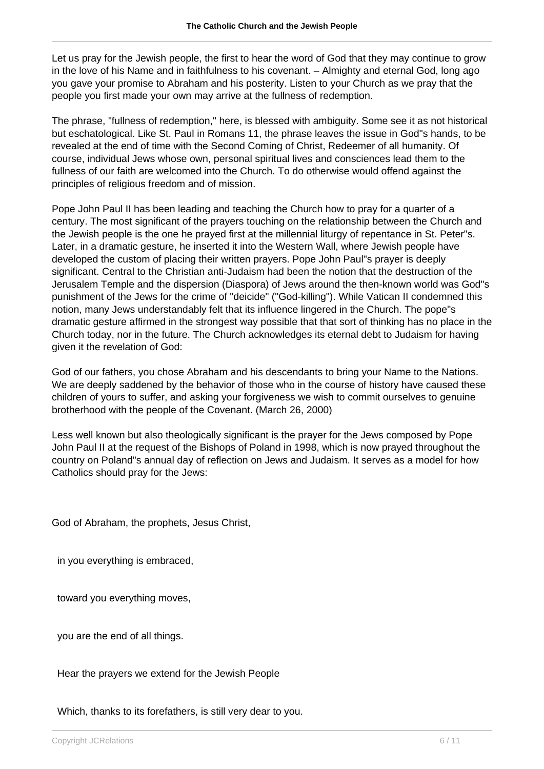Let us pray for the Jewish people, the first to hear the word of God that they may continue to grow in the love of his Name and in faithfulness to his covenant. – Almighty and eternal God, long ago you gave your promise to Abraham and his posterity. Listen to your Church as we pray that the people you first made your own may arrive at the fullness of redemption.

The phrase, "fullness of redemption," here, is blessed with ambiguity. Some see it as not historical but eschatological. Like St. Paul in Romans 11, the phrase leaves the issue in God"s hands, to be revealed at the end of time with the Second Coming of Christ, Redeemer of all humanity. Of course, individual Jews whose own, personal spiritual lives and consciences lead them to the fullness of our faith are welcomed into the Church. To do otherwise would offend against the principles of religious freedom and of mission.

Pope John Paul II has been leading and teaching the Church how to pray for a quarter of a century. The most significant of the prayers touching on the relationship between the Church and the Jewish people is the one he prayed first at the millennial liturgy of repentance in St. Peter"s. Later, in a dramatic gesture, he inserted it into the Western Wall, where Jewish people have developed the custom of placing their written prayers. Pope John Paul"s prayer is deeply significant. Central to the Christian anti-Judaism had been the notion that the destruction of the Jerusalem Temple and the dispersion (Diaspora) of Jews around the then-known world was God"s punishment of the Jews for the crime of "deicide" ("God-killing"). While Vatican II condemned this notion, many Jews understandably felt that its influence lingered in the Church. The pope"s dramatic gesture affirmed in the strongest way possible that that sort of thinking has no place in the Church today, nor in the future. The Church acknowledges its eternal debt to Judaism for having given it the revelation of God:

God of our fathers, you chose Abraham and his descendants to bring your Name to the Nations. We are deeply saddened by the behavior of those who in the course of history have caused these children of yours to suffer, and asking your forgiveness we wish to commit ourselves to genuine brotherhood with the people of the Covenant. (March 26, 2000)

Less well known but also theologically significant is the prayer for the Jews composed by Pope John Paul II at the request of the Bishops of Poland in 1998, which is now prayed throughout the country on Poland"s annual day of reflection on Jews and Judaism. It serves as a model for how Catholics should pray for the Jews:

God of Abraham, the prophets, Jesus Christ,

in you everything is embraced,

toward you everything moves,

you are the end of all things.

Hear the prayers we extend for the Jewish People

Which, thanks to its forefathers, is still very dear to you.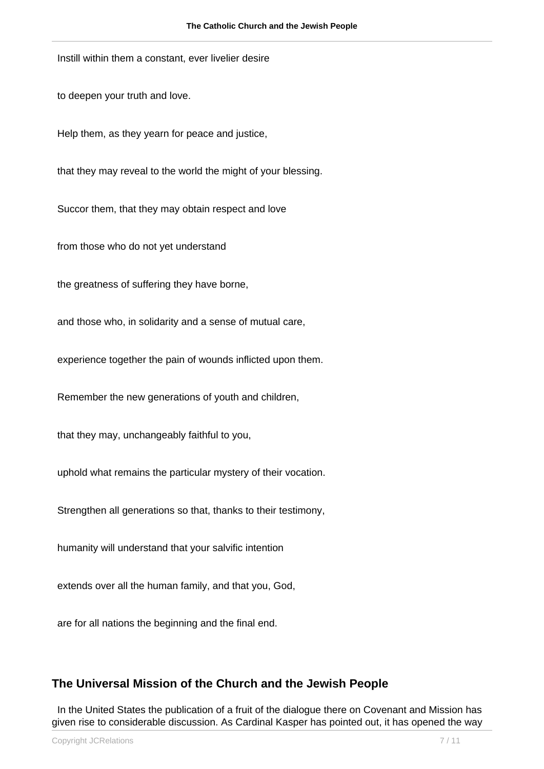Instill within them a constant, ever livelier desire

to deepen your truth and love.

Help them, as they yearn for peace and justice,

that they may reveal to the world the might of your blessing.

Succor them, that they may obtain respect and love

from those who do not yet understand

the greatness of suffering they have borne,

and those who, in solidarity and a sense of mutual care,

experience together the pain of wounds inflicted upon them.

Remember the new generations of youth and children,

that they may, unchangeably faithful to you,

uphold what remains the particular mystery of their vocation.

Strengthen all generations so that, thanks to their testimony,

humanity will understand that your salvific intention

extends over all the human family, and that you, God,

are for all nations the beginning and the final end.

#### **The Universal Mission of the Church and the Jewish People**

 In the United States the publication of a fruit of the dialogue there on Covenant and Mission has given rise to considerable discussion. As Cardinal Kasper has pointed out, it has opened the way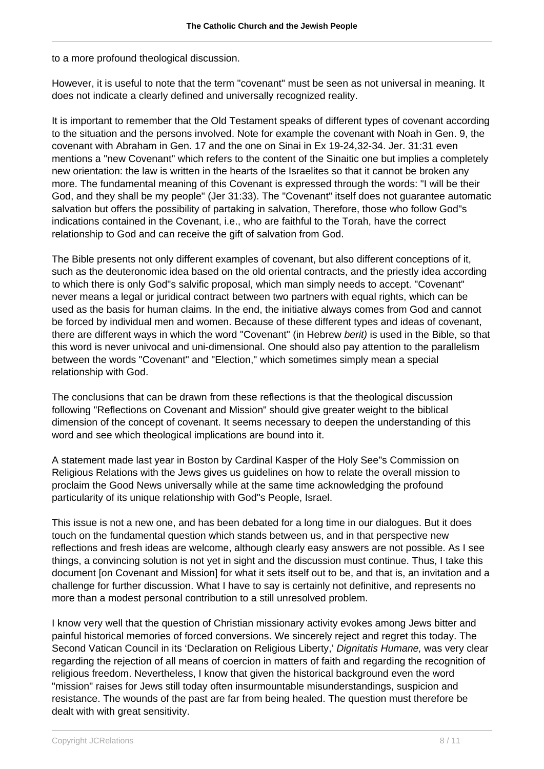to a more profound theological discussion.

However, it is useful to note that the term "covenant" must be seen as not universal in meaning. It does not indicate a clearly defined and universally recognized reality.

It is important to remember that the Old Testament speaks of different types of covenant according to the situation and the persons involved. Note for example the covenant with Noah in Gen. 9, the covenant with Abraham in Gen. 17 and the one on Sinai in Ex 19-24,32-34. Jer. 31:31 even mentions a "new Covenant" which refers to the content of the Sinaitic one but implies a completely new orientation: the law is written in the hearts of the Israelites so that it cannot be broken any more. The fundamental meaning of this Covenant is expressed through the words: "I will be their God, and they shall be my people" (Jer 31:33). The "Covenant" itself does not guarantee automatic salvation but offers the possibility of partaking in salvation, Therefore, those who follow God"s indications contained in the Covenant, i.e., who are faithful to the Torah, have the correct relationship to God and can receive the gift of salvation from God.

The Bible presents not only different examples of covenant, but also different conceptions of it, such as the deuteronomic idea based on the old oriental contracts, and the priestly idea according to which there is only God"s salvific proposal, which man simply needs to accept. "Covenant" never means a legal or juridical contract between two partners with equal rights, which can be used as the basis for human claims. In the end, the initiative always comes from God and cannot be forced by individual men and women. Because of these different types and ideas of covenant, there are different ways in which the word "Covenant" (in Hebrew berit) is used in the Bible, so that this word is never univocal and uni-dimensional. One should also pay attention to the parallelism between the words "Covenant" and "Election," which sometimes simply mean a special relationship with God.

The conclusions that can be drawn from these reflections is that the theological discussion following "Reflections on Covenant and Mission" should give greater weight to the biblical dimension of the concept of covenant. It seems necessary to deepen the understanding of this word and see which theological implications are bound into it.

A statement made last year in Boston by Cardinal Kasper of the Holy See"s Commission on Religious Relations with the Jews gives us guidelines on how to relate the overall mission to proclaim the Good News universally while at the same time acknowledging the profound particularity of its unique relationship with God"s People, Israel.

This issue is not a new one, and has been debated for a long time in our dialogues. But it does touch on the fundamental question which stands between us, and in that perspective new reflections and fresh ideas are welcome, although clearly easy answers are not possible. As I see things, a convincing solution is not yet in sight and the discussion must continue. Thus, I take this document [on Covenant and Mission] for what it sets itself out to be, and that is, an invitation and a challenge for further discussion. What I have to say is certainly not definitive, and represents no more than a modest personal contribution to a still unresolved problem.

I know very well that the question of Christian missionary activity evokes among Jews bitter and painful historical memories of forced conversions. We sincerely reject and regret this today. The Second Vatican Council in its 'Declaration on Religious Liberty,' Dignitatis Humane, was very clear regarding the rejection of all means of coercion in matters of faith and regarding the recognition of religious freedom. Nevertheless, I know that given the historical background even the word "mission" raises for Jews still today often insurmountable misunderstandings, suspicion and resistance. The wounds of the past are far from being healed. The question must therefore be dealt with with great sensitivity.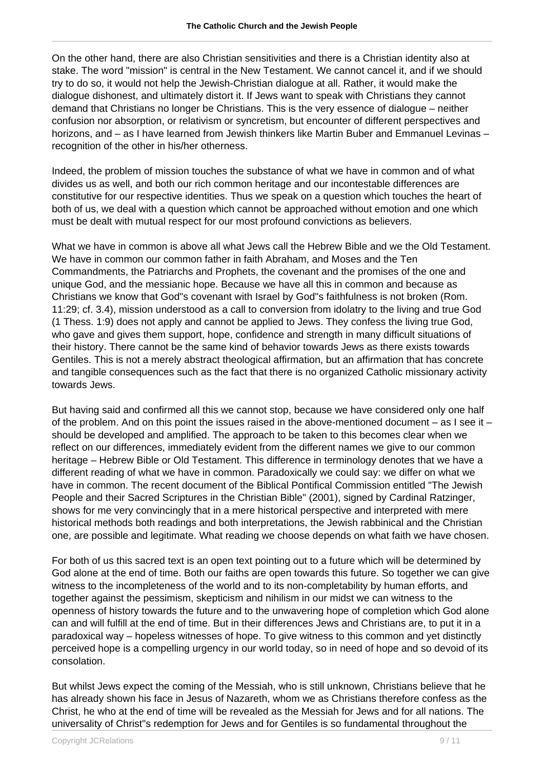On the other hand, there are also Christian sensitivities and there is a Christian identity also at stake. The word "mission" is central in the New Testament. We cannot cancel it, and if we should try to do so, it would not help the Jewish-Christian dialogue at all. Rather, it would make the dialogue dishonest, and ultimately distort it. If Jews want to speak with Christians they cannot demand that Christians no longer be Christians. This is the very essence of dialogue – neither confusion nor absorption, or relativism or syncretism, but encounter of different perspectives and horizons, and – as I have learned from Jewish thinkers like Martin Buber and Emmanuel Levinas – recognition of the other in his/her otherness.

Indeed, the problem of mission touches the substance of what we have in common and of what divides us as well, and both our rich common heritage and our incontestable differences are constitutive for our respective identities. Thus we speak on a question which touches the heart of both of us, we deal with a question which cannot be approached without emotion and one which must be dealt with mutual respect for our most profound convictions as believers.

What we have in common is above all what Jews call the Hebrew Bible and we the Old Testament. We have in common our common father in faith Abraham, and Moses and the Ten Commandments, the Patriarchs and Prophets, the covenant and the promises of the one and unique God, and the messianic hope. Because we have all this in common and because as Christians we know that God"s covenant with Israel by God"s faithfulness is not broken (Rom. 11:29; cf. 3.4), mission understood as a call to conversion from idolatry to the living and true God (1 Thess. 1:9) does not apply and cannot be applied to Jews. They confess the living true God, who gave and gives them support, hope, confidence and strength in many difficult situations of their history. There cannot be the same kind of behavior towards Jews as there exists towards Gentiles. This is not a merely abstract theological affirmation, but an affirmation that has concrete and tangible consequences such as the fact that there is no organized Catholic missionary activity towards Jews.

But having said and confirmed all this we cannot stop, because we have considered only one half of the problem. And on this point the issues raised in the above-mentioned document  $-$  as I see it  $$ should be developed and amplified. The approach to be taken to this becomes clear when we reflect on our differences, immediately evident from the different names we give to our common heritage – Hebrew Bible or Old Testament. This difference in terminology denotes that we have a different reading of what we have in common. Paradoxically we could say: we differ on what we have in common. The recent document of the Biblical Pontifical Commission entitled "The Jewish People and their Sacred Scriptures in the Christian Bible" (2001), signed by Cardinal Ratzinger, shows for me very convincingly that in a mere historical perspective and interpreted with mere historical methods both readings and both interpretations, the Jewish rabbinical and the Christian one, are possible and legitimate. What reading we choose depends on what faith we have chosen.

For both of us this sacred text is an open text pointing out to a future which will be determined by God alone at the end of time. Both our faiths are open towards this future. So together we can give witness to the incompleteness of the world and to its non-completability by human efforts, and together against the pessimism, skepticism and nihilism in our midst we can witness to the openness of history towards the future and to the unwavering hope of completion which God alone can and will fulfill at the end of time. But in their differences Jews and Christians are, to put it in a paradoxical way – hopeless witnesses of hope. To give witness to this common and yet distinctly perceived hope is a compelling urgency in our world today, so in need of hope and so devoid of its consolation.

But whilst Jews expect the coming of the Messiah, who is still unknown, Christians believe that he has already shown his face in Jesus of Nazareth, whom we as Christians therefore confess as the Christ, he who at the end of time will be revealed as the Messiah for Jews and for all nations. The universality of Christ"s redemption for Jews and for Gentiles is so fundamental throughout the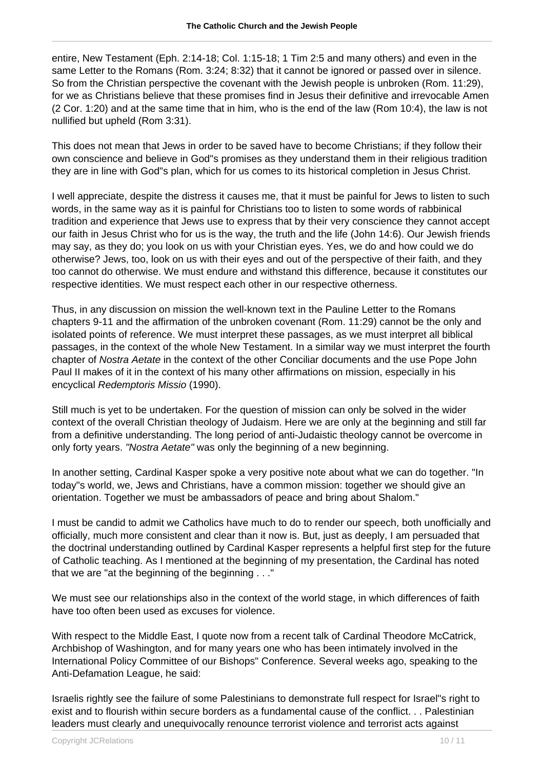entire, New Testament (Eph. 2:14-18; Col. 1:15-18; 1 Tim 2:5 and many others) and even in the same Letter to the Romans (Rom. 3:24; 8:32) that it cannot be ignored or passed over in silence. So from the Christian perspective the covenant with the Jewish people is unbroken (Rom. 11:29), for we as Christians believe that these promises find in Jesus their definitive and irrevocable Amen (2 Cor. 1:20) and at the same time that in him, who is the end of the law (Rom 10:4), the law is not nullified but upheld (Rom 3:31).

This does not mean that Jews in order to be saved have to become Christians; if they follow their own conscience and believe in God"s promises as they understand them in their religious tradition they are in line with God"s plan, which for us comes to its historical completion in Jesus Christ.

I well appreciate, despite the distress it causes me, that it must be painful for Jews to listen to such words, in the same way as it is painful for Christians too to listen to some words of rabbinical tradition and experience that Jews use to express that by their very conscience they cannot accept our faith in Jesus Christ who for us is the way, the truth and the life (John 14:6). Our Jewish friends may say, as they do; you look on us with your Christian eyes. Yes, we do and how could we do otherwise? Jews, too, look on us with their eyes and out of the perspective of their faith, and they too cannot do otherwise. We must endure and withstand this difference, because it constitutes our respective identities. We must respect each other in our respective otherness.

Thus, in any discussion on mission the well-known text in the Pauline Letter to the Romans chapters 9-11 and the affirmation of the unbroken covenant (Rom. 11:29) cannot be the only and isolated points of reference. We must interpret these passages, as we must interpret all biblical passages, in the context of the whole New Testament. In a similar way we must interpret the fourth chapter of Nostra Aetate in the context of the other Conciliar documents and the use Pope John Paul II makes of it in the context of his many other affirmations on mission, especially in his encyclical Redemptoris Missio (1990).

Still much is yet to be undertaken. For the question of mission can only be solved in the wider context of the overall Christian theology of Judaism. Here we are only at the beginning and still far from a definitive understanding. The long period of anti-Judaistic theology cannot be overcome in only forty years. "Nostra Aetate" was only the beginning of a new beginning.

In another setting, Cardinal Kasper spoke a very positive note about what we can do together. "In today"s world, we, Jews and Christians, have a common mission: together we should give an orientation. Together we must be ambassadors of peace and bring about Shalom."

I must be candid to admit we Catholics have much to do to render our speech, both unofficially and officially, much more consistent and clear than it now is. But, just as deeply, I am persuaded that the doctrinal understanding outlined by Cardinal Kasper represents a helpful first step for the future of Catholic teaching. As I mentioned at the beginning of my presentation, the Cardinal has noted that we are "at the beginning of the beginning . . ."

We must see our relationships also in the context of the world stage, in which differences of faith have too often been used as excuses for violence.

With respect to the Middle East, I quote now from a recent talk of Cardinal Theodore McCatrick, Archbishop of Washington, and for many years one who has been intimately involved in the International Policy Committee of our Bishops" Conference. Several weeks ago, speaking to the Anti-Defamation League, he said:

Israelis rightly see the failure of some Palestinians to demonstrate full respect for Israel"s right to exist and to flourish within secure borders as a fundamental cause of the conflict. . . Palestinian leaders must clearly and unequivocally renounce terrorist violence and terrorist acts against